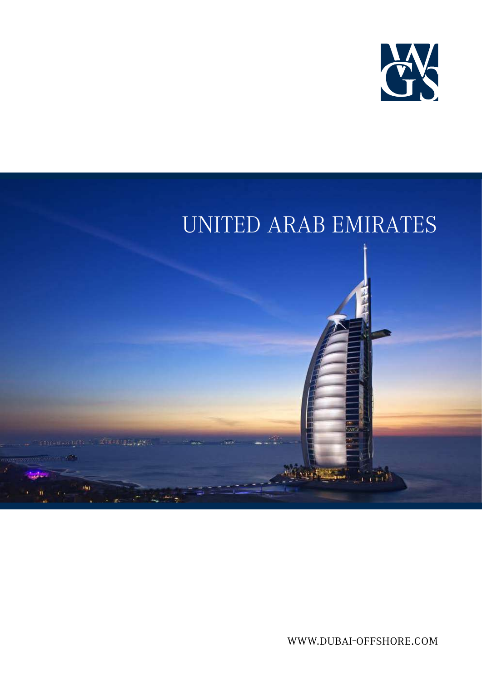



www.gws.net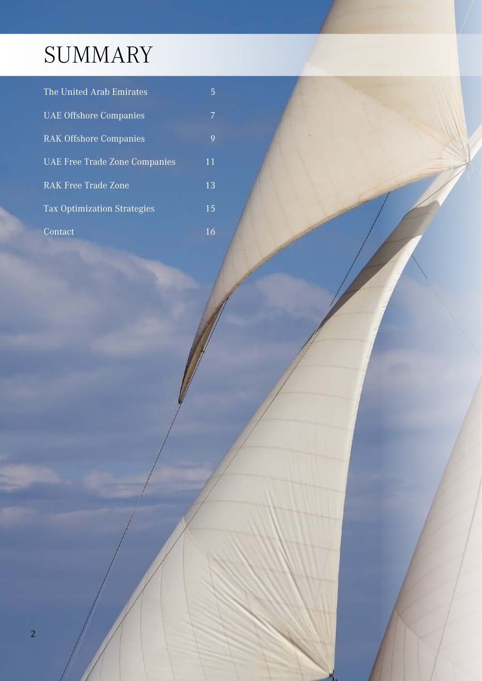# SUMMARY

| The United Arab Emirates           | 5  |
|------------------------------------|----|
| <b>UAE Offshore Companies</b>      | 7  |
| <b>RAK Offshore Companies</b>      | 9  |
| UAE Free Trade Zone Companies      | 11 |
| <b>RAK Free Trade Zone</b>         | 13 |
| <b>Tax Optimization Strategies</b> | 15 |
| Contact                            | 16 |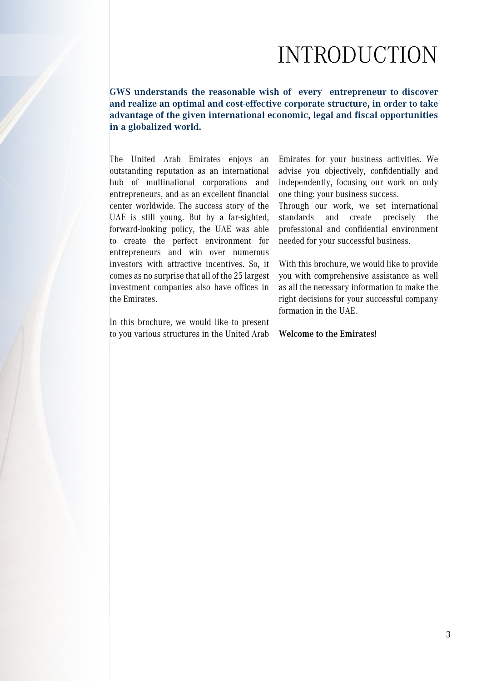### INTRODUCTION

**GWS understands the reasonable wish of every entrepreneur to discover and realize an optimal and cost-effective corporate structure, in order to take advantage of the given international economic, legal and fiscal opportunities in a globalized world.**

The United Arab Emirates enjoys an outstanding reputation as an international hub of multinational corporations and entrepreneurs, and as an excellent financial center worldwide. The success story of the UAE is still young. But by a far-sighted, forward-looking policy, the UAE was able to create the perfect environment for entrepreneurs and win over numerous investors with attractive incentives. So, it comes as no surprise that all of the 25 largest investment companies also have offices in the Emirates.

In this brochure, we would like to present to you various structures in the United Arab Emirates for your business activities. We advise you objectively, confidentially and independently, focusing our work on only one thing: your business success.

Through our work, we set international standards and create precisely the professional and confidential environment needed for your successful business.

With this brochure, we would like to provide you with comprehensive assistance as well as all the necessary information to make the right decisions for your successful company formation in the UAE.

#### **Welcome to the Emirates!**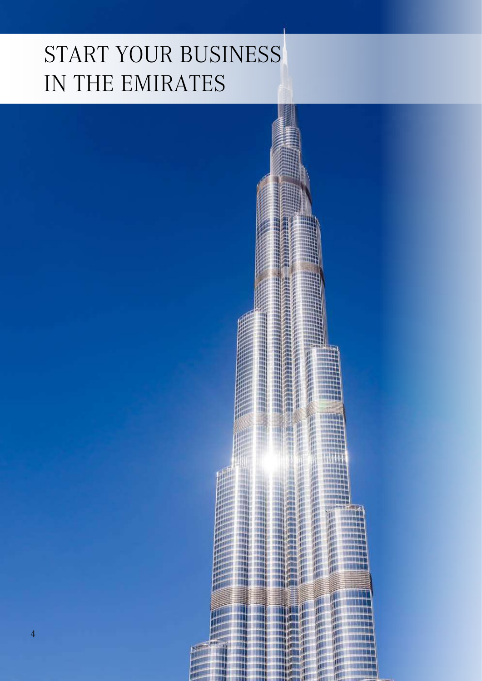# START YOUR BUSINESS IN THE EMIRATES

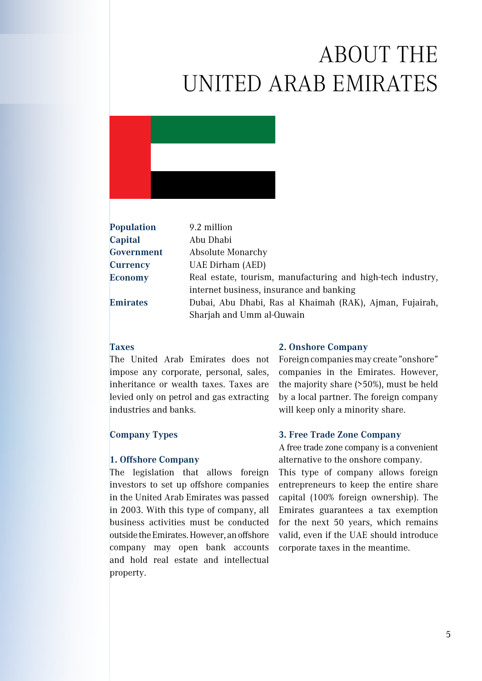# ABOUT THE UNITED ARAB EMIRATES



| <b>Population</b> | 9.2 million                                                                                                                       |
|-------------------|-----------------------------------------------------------------------------------------------------------------------------------|
| Capital           | Abu Dhabi                                                                                                                         |
| Government        | <b>Absolute Monarchy</b>                                                                                                          |
| <b>Currency</b>   | UAE Dirham (AED)                                                                                                                  |
| <b>Economy</b>    | Real estate, tourism, manufacturing and high-tech industry,                                                                       |
| <b>Emirates</b>   | internet business, insurance and banking<br>Dubai, Abu Dhabi, Ras al Khaimah (RAK), Ajman, Fujairah,<br>Sharjah and Umm al-Quwain |
|                   |                                                                                                                                   |

#### **Taxes**

The United Arab Emirates does not impose any corporate, personal, sales, inheritance or wealth taxes. Taxes are levied only on petrol and gas extracting industries and banks.

### **Company Types**

#### **1. Offshore Company**

The legislation that allows foreign investors to set up offshore companies in the United Arab Emirates was passed in 2003. With this type of company, all business activities must be conducted outside the Emirates. However, an offshore company may open bank accounts and hold real estate and intellectual property.

#### **2. Onshore Company**

Foreign companies may create "onshore" companies in the Emirates. However, the majority share (>50%), must be held by a local partner. The foreign company will keep only a minority share.

#### **3. Free Trade Zone Company**

A free trade zone company is a convenient alternative to the onshore company.

This type of company allows foreign entrepreneurs to keep the entire share capital (100% foreign ownership). The Emirates guarantees a tax exemption for the next 50 years, which remains valid, even if the UAE should introduce corporate taxes in the meantime.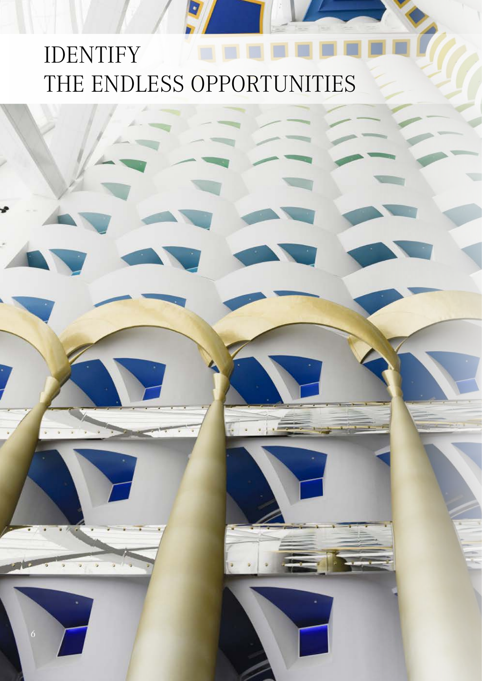# IDENTIFY NOTES THE ENDLESS OPPORTUNITIES

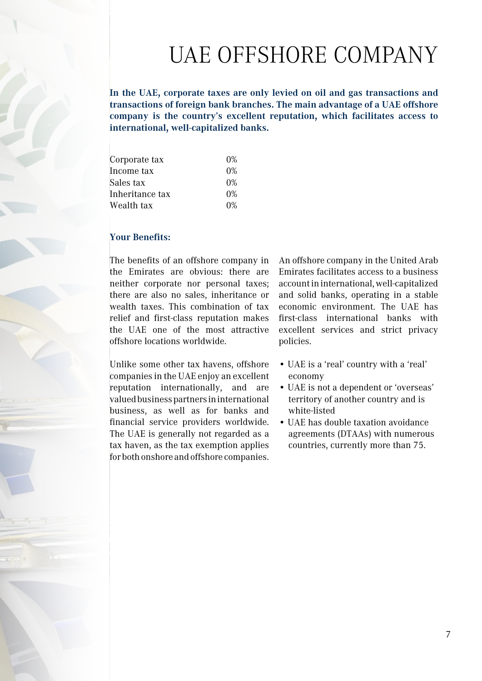## UAE OFFSHORE COMPANY

**In the UAE, corporate taxes are only levied on oil and gas transactions and transactions of foreign bank branches. The main advantage of a UAE offshore company is the country's excellent reputation, which facilitates access to international, well-capitalized banks.**

| Corporate tax   | $0\%$ |
|-----------------|-------|
| Income tax      | $0\%$ |
| Sales tax       | $0\%$ |
| Inheritance tax | $0\%$ |
| Wealth tax      | $0\%$ |

### **Your Benefits:**

The benefits of an offshore company in the Emirates are obvious: there are neither corporate nor personal taxes; there are also no sales, inheritance or wealth taxes. This combination of tax relief and first-class reputation makes the UAE one of the most attractive offshore locations worldwide.

Unlike some other tax havens, offshore companies in the UAE enjoy an excellent reputation internationally, and are valued business partners in international business, as well as for banks and financial service providers worldwide. The UAE is generally not regarded as a tax haven, as the tax exemption applies for both onshore and offshore companies. An offshore company in the United Arab Emirates facilitates access to a business account in international, well-capitalized and solid banks, operating in a stable economic environment. The UAE has first-class international banks with excellent services and strict privacy policies.

- UAE is a 'real' country with a 'real' economy
- UAE is not a dependent or 'overseas' territory of another country and is white-listed
- UAE has double taxation avoidance agreements (DTAAs) with numerous countries, currently more than 75.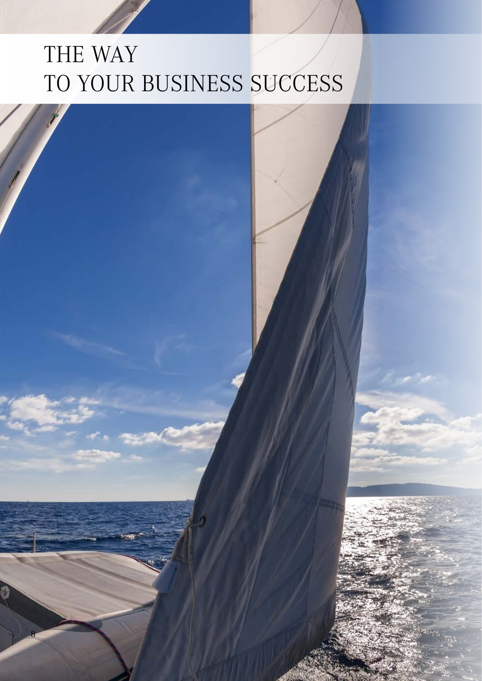# THE WAY TO YOUR BUSINESS SUCCESS

8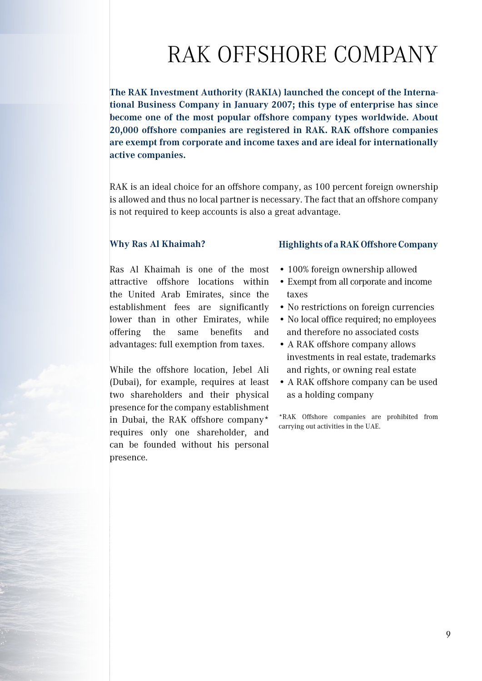## RAK OFFSHORE COMPANY

**The RAK Investment Authority (RAKIA) launched the concept of the International Business Company in January 2007; this type of enterprise has since become one of the most popular offshore company types worldwide. About 20,000 offshore companies are registered in RAK. RAK offshore companies are exempt from corporate and income taxes and are ideal for internationally active companies.**

RAK is an ideal choice for an offshore company, as 100 percent foreign ownership is allowed and thus no local partner is necessary. The fact that an offshore company is not required to keep accounts is also a great advantage.

#### **Why Ras Al Khaimah?**

Ras Al Khaimah is one of the most attractive offshore locations within the United Arab Emirates, since the establishment fees are significantly lower than in other Emirates, while offering the same benefits and advantages: full exemption from taxes.

While the offshore location, Jebel Ali (Dubai), for example, requires at least two shareholders and their physical presence for the company establishment in Dubai, the RAK offshore company\* requires only one shareholder, and can be founded without his personal presence.

### **Highlights of a RAK Offshore Company**

- 100% foreign ownership allowed
- Exempt from all corporate and income taxes
- No restrictions on foreign currencies
- No local office required; no employees and therefore no associated costs
- A RAK offshore company allows investments in real estate, trademarks and rights, or owning real estate
- A RAK offshore company can be used as a holding company

\*RAK Offshore companies are prohibited from carrying out activities in the UAE.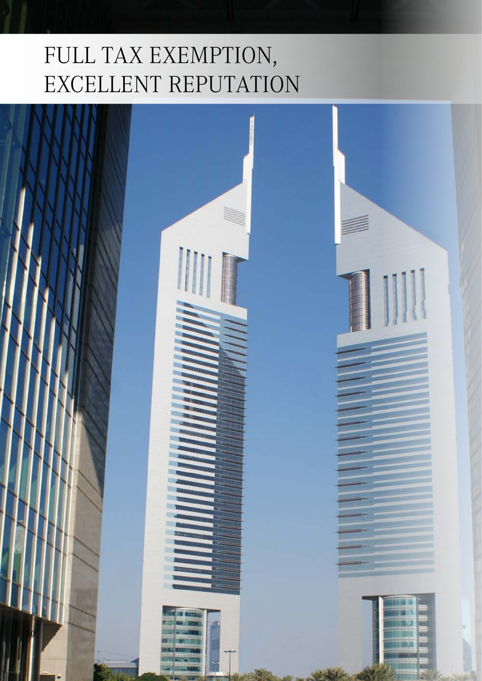# FULL TAX EXEMPTION, EXCELLENT REPUTATION

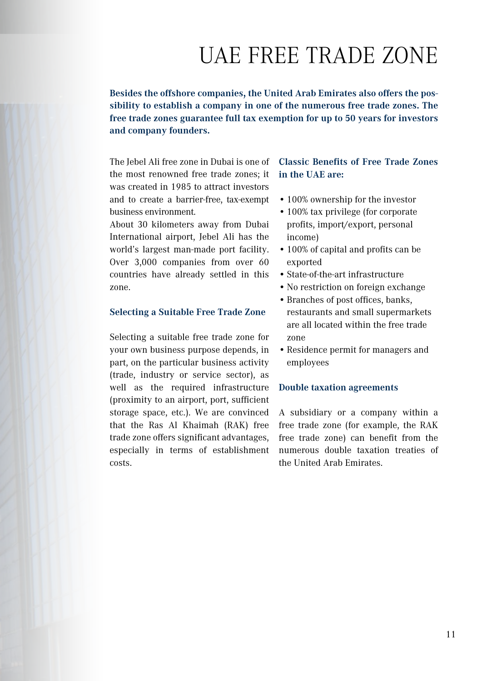## UAE FREE TRADE ZONE

**Besides the offshore companies, the United Arab Emirates also offers the possibility to establish a company in one of the numerous free trade zones. The free trade zones guarantee full tax exemption for up to 50 years for investors and company founders.** 

The Jebel Ali free zone in Dubai is one of the most renowned free trade zones; it was created in 1985 to attract investors and to create a barrier-free, tax-exempt business environment.

About 30 kilometers away from Dubai International airport, Jebel Ali has the world's largest man-made port facility. Over 3,000 companies from over 60 countries have already settled in this zone.

### **Selecting a Suitable Free Trade Zone**

Selecting a suitable free trade zone for your own business purpose depends, in part, on the particular business activity (trade, industry or service sector), as well as the required infrastructure (proximity to an airport, port, sufficient storage space, etc.). We are convinced that the Ras Al Khaimah (RAK) free trade zone offers significant advantages, especially in terms of establishment costs.

### **Classic Benefits of Free Trade Zones in the UAE are:**

- •100% ownership for the investor
- 100% tax privilege (for corporate) profits, import/export, personal income)
- •100% of capital and profits can be exported
- •State-of-the-art infrastructure
- No restriction on foreign exchange
- •Branches of post offices, banks, restaurants and small supermarkets are all located within the free trade zone
- •Residence permit for managers and employees

#### **Double taxation agreements**

A subsidiary or a company within a free trade zone (for example, the RAK free trade zone) can benefit from the numerous double taxation treaties of the United Arab Emirates.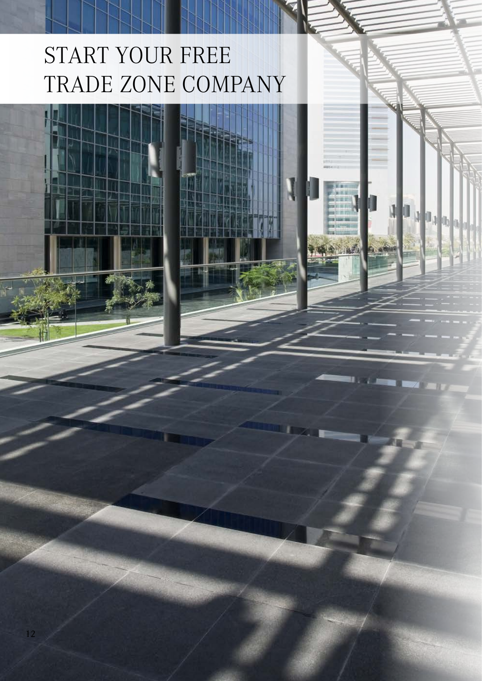# START YOUR FREE TRADE ZONE COMPANY

Ougher

 $\mathbf{I}$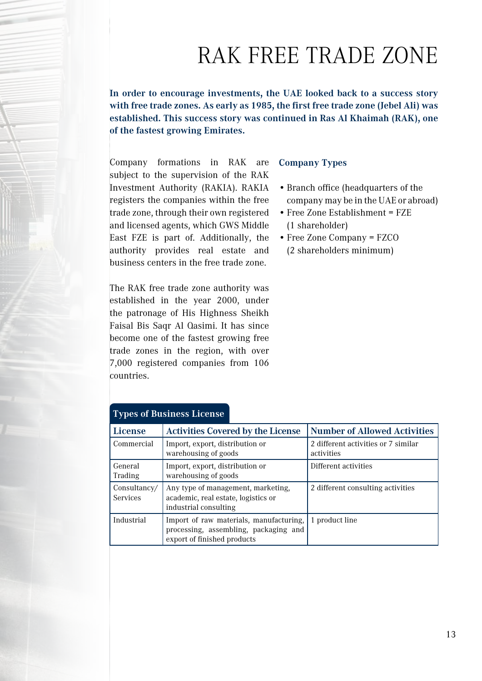## RAK FREE TRADE ZONE

**In order to encourage investments, the UAE looked back to a success story with free trade zones. As early as 1985, the first free trade zone (Jebel Ali) was established. This success story was continued in Ras Al Khaimah (RAK), one of the fastest growing Emirates.**

Company formations in RAK are subject to the supervision of the RAK Investment Authority (RAKIA). RAKIA registers the companies within the free trade zone, through their own registered and licensed agents, which GWS Middle East FZE is part of. Additionally, the authority provides real estate and business centers in the free trade zone.

The RAK free trade zone authority was established in the year 2000, under the patronage of His Highness Sheikh Faisal Bis Saqr Al Qasimi. It has since become one of the fastest growing free trade zones in the region, with over 7,000 registered companies from 106 countries.

### **Company Types**

- •Branch office (headquarters of the company may be in the UAE or abroad)
- Free Zone Establishment = FZE (1 shareholder)
- •Free Zone Company = FZCO
- (2 shareholders minimum)

| ╯┖                              |                                                                                                                 |                                                   |
|---------------------------------|-----------------------------------------------------------------------------------------------------------------|---------------------------------------------------|
| License                         | <b>Activities Covered by the License</b>                                                                        | <b>Number of Allowed Activities</b>               |
| Commercial                      | Import, export, distribution or<br>warehousing of goods                                                         | 2 different activities or 7 similar<br>activities |
| General<br>Trading              | Import, export, distribution or<br>warehousing of goods                                                         | Different activities                              |
| Consultancy/<br><b>Services</b> | Any type of management, marketing,<br>academic, real estate, logistics or<br>industrial consulting              | 2 different consulting activities                 |
| Industrial                      | Import of raw materials, manufacturing,<br>processing, assembling, packaging and<br>export of finished products | 1 product line                                    |

### **Types of Business License**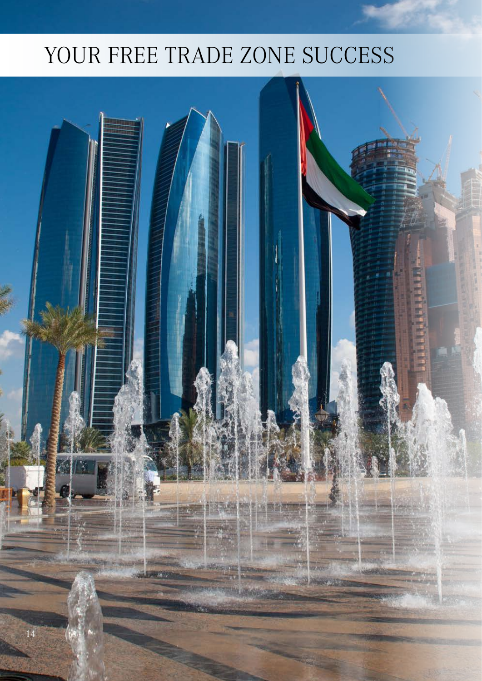## YOUR FREE TRADE ZONE SUCCESS

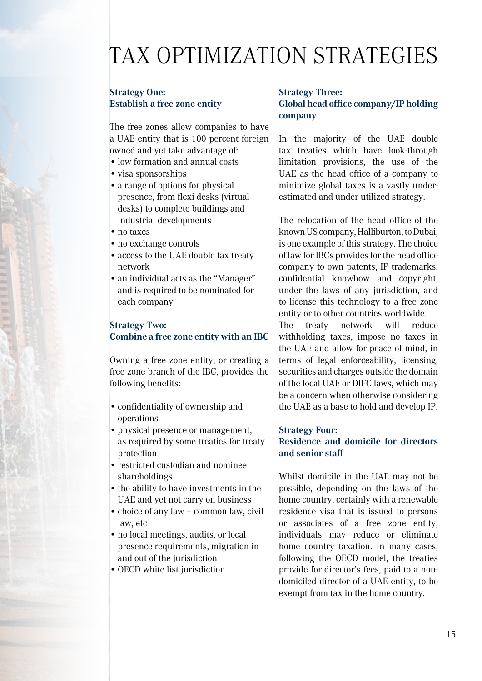### TAX OPTIMIZATION STRATEGIES

### **Strategy One: Establish a free zone entity**

The free zones allow companies to have a UAE entity that is 100 percent foreign owned and yet take advantage of:

- •low formation and annual costs
- visa sponsorships
- •a range of options for physical presence, from flexi desks (virtual desks) to complete buildings and industrial developments
- no taxes
- no exchange controls
- •access to the UAE double tax treaty network
- an individual acts as the "Manager" and is required to be nominated for each company

### **Strategy Two: Combine a free zone entity with an IBC**

Owning a free zone entity, or creating a free zone branch of the IBC, provides the following benefits:

- •confidentiality of ownership and operations
- physical presence or management. as required by some treaties for treaty protection
- restricted custodian and nominee shareholdings
- the ability to have investments in the UAE and yet not carry on business
- •choice of any law common law, civil law, etc
- no local meetings, audits, or local presence requirements, migration in and out of the jurisdiction
- •OECD white list jurisdiction

### **Strategy Three: Global head office company/IP holding company**

In the majority of the UAE double tax treaties which have look-through limitation provisions, the use of the UAE as the head office of a company to minimize global taxes is a vastly underestimated and under-utilized strategy.

The relocation of the head office of the known US company, Halliburton, to Dubai, is one example of this strategy. The choice of law for IBCs provides for the head office company to own patents, IP trademarks, confidential knowhow and copyright, under the laws of any jurisdiction, and to license this technology to a free zone entity or to other countries worldwide.

The treaty network will reduce withholding taxes, impose no taxes in the UAE and allow for peace of mind, in terms of legal enforceability, licensing, securities and charges outside the domain of the local UAE or DIFC laws, which may be a concern when otherwise considering the UAE as a base to hold and develop IP.

### **Strategy Four:**

### **Residence and domicile for directors and senior staff**

Whilst domicile in the UAE may not be possible, depending on the laws of the home country, certainly with a renewable residence visa that is issued to persons or associates of a free zone entity, individuals may reduce or eliminate home country taxation. In many cases, following the OECD model, the treaties provide for director's fees, paid to a nondomiciled director of a UAE entity, to be exempt from tax in the home country.